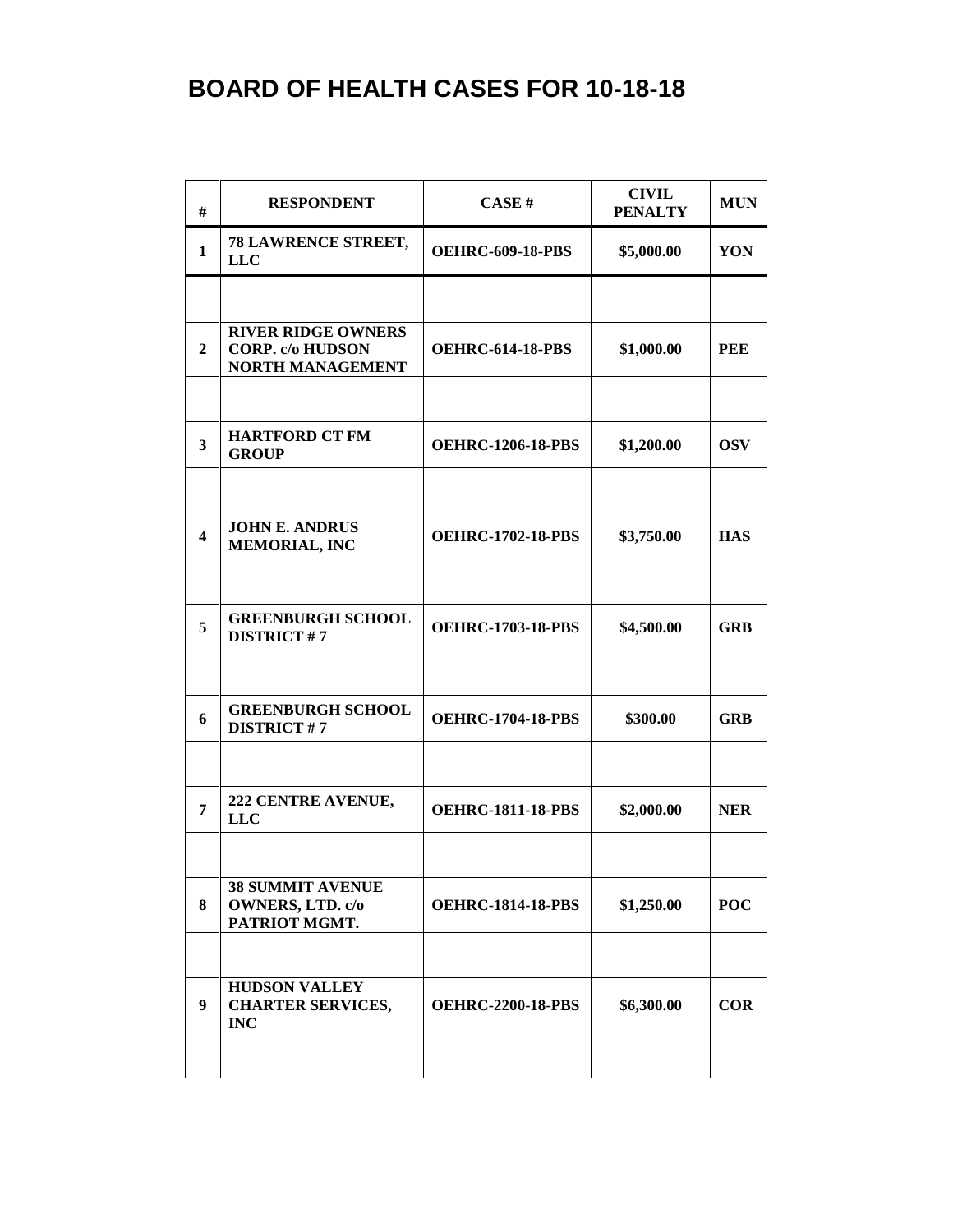| #                       | <b>RESPONDENT</b>                                                               | CASE#                    | <b>CIVIL</b><br><b>PENALTY</b> | <b>MUN</b> |
|-------------------------|---------------------------------------------------------------------------------|--------------------------|--------------------------------|------------|
| $\mathbf{1}$            | 78 LAWRENCE STREET,<br><b>LLC</b>                                               | <b>OEHRC-609-18-PBS</b>  | \$5,000.00                     | YON        |
|                         |                                                                                 |                          |                                |            |
| $\mathbf{2}$            | <b>RIVER RIDGE OWNERS</b><br><b>CORP.</b> c/o HUDSON<br><b>NORTH MANAGEMENT</b> | <b>OEHRC-614-18-PBS</b>  | \$1,000.00                     | <b>PEE</b> |
|                         |                                                                                 |                          |                                |            |
| $\overline{\mathbf{3}}$ | <b>HARTFORD CT FM</b><br><b>GROUP</b>                                           | <b>OEHRC-1206-18-PBS</b> | \$1,200.00                     | <b>OSV</b> |
|                         |                                                                                 |                          |                                |            |
| $\overline{\mathbf{4}}$ | <b>JOHN E. ANDRUS</b><br><b>MEMORIAL, INC</b>                                   | <b>OEHRC-1702-18-PBS</b> | \$3,750.00                     | <b>HAS</b> |
|                         |                                                                                 |                          |                                |            |
| 5                       | <b>GREENBURGH SCHOOL</b><br><b>DISTRICT#7</b>                                   | <b>OEHRC-1703-18-PBS</b> | \$4,500.00                     | <b>GRB</b> |
|                         |                                                                                 |                          |                                |            |
| 6                       | <b>GREENBURGH SCHOOL</b><br><b>DISTRICT#7</b>                                   | <b>OEHRC-1704-18-PBS</b> | \$300.00                       | <b>GRB</b> |
|                         |                                                                                 |                          |                                |            |
| 7                       | 222 CENTRE AVENUE,<br><b>LLC</b>                                                | <b>OEHRC-1811-18-PBS</b> | \$2,000.00                     | <b>NER</b> |
|                         |                                                                                 |                          |                                |            |
| 8                       | <b>38 SUMMIT AVENUE</b><br><b>OWNERS, LTD. c/o</b><br>PATRIOT MGMT.             | <b>OEHRC-1814-18-PBS</b> | \$1,250.00                     | <b>POC</b> |
|                         |                                                                                 |                          |                                |            |
| 9                       | <b>HUDSON VALLEY</b><br><b>CHARTER SERVICES,</b><br><b>INC</b>                  | <b>OEHRC-2200-18-PBS</b> | \$6,300.00                     | <b>COR</b> |
|                         |                                                                                 |                          |                                |            |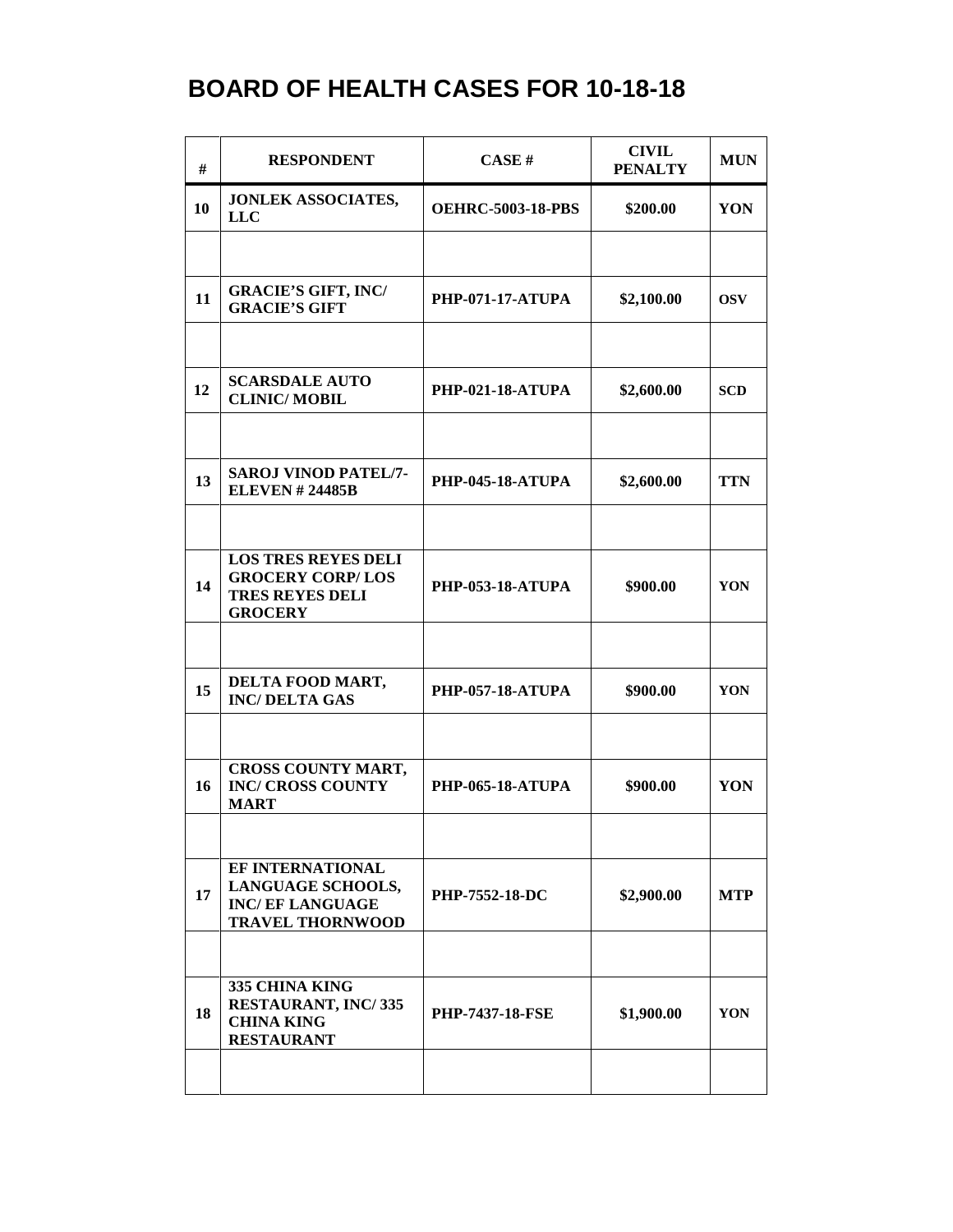| #  | <b>RESPONDENT</b>                                                                          | CASE#                    | <b>CIVIL</b><br><b>PENALTY</b> | <b>MUN</b> |
|----|--------------------------------------------------------------------------------------------|--------------------------|--------------------------------|------------|
| 10 | <b>JONLEK ASSOCIATES,</b><br><b>LLC</b>                                                    | <b>OEHRC-5003-18-PBS</b> | \$200.00                       | YON        |
|    |                                                                                            |                          |                                |            |
| 11 | <b>GRACIE'S GIFT, INC/</b><br><b>GRACIE'S GIFT</b>                                         | <b>PHP-071-17-ATUPA</b>  | \$2,100.00                     | <b>OSV</b> |
|    |                                                                                            |                          |                                |            |
| 12 | <b>SCARSDALE AUTO</b><br><b>CLINIC/MOBIL</b>                                               | <b>PHP-021-18-ATUPA</b>  | \$2,600.00                     | <b>SCD</b> |
|    |                                                                                            |                          |                                |            |
| 13 | <b>SAROJ VINOD PATEL/7-</b><br><b>ELEVEN #24485B</b>                                       | <b>PHP-045-18-ATUPA</b>  | \$2,600.00                     | <b>TTN</b> |
|    | <b>LOS TRES REYES DELI</b>                                                                 |                          |                                |            |
| 14 | <b>GROCERY CORP/LOS</b><br><b>TRES REYES DELI</b><br><b>GROCERY</b>                        | <b>PHP-053-18-ATUPA</b>  | \$900.00                       | <b>YON</b> |
|    |                                                                                            |                          |                                |            |
| 15 | DELTA FOOD MART,<br><b>INC/DELTA GAS</b>                                                   | <b>PHP-057-18-ATUPA</b>  | \$900.00                       | <b>YON</b> |
|    |                                                                                            |                          |                                |            |
| 16 | <b>CROSS COUNTY MART,</b><br><b>INC/ CROSS COUNTY</b><br><b>MART</b>                       | <b>PHP-065-18-ATUPA</b>  | \$900.00                       | YON        |
|    |                                                                                            |                          |                                |            |
| 17 | EF INTERNATIONAL<br>LANGUAGE SCHOOLS,<br><b>INC/EF LANGUAGE</b><br><b>TRAVEL THORNWOOD</b> | <b>PHP-7552-18-DC</b>    | \$2,900.00                     | <b>MTP</b> |
|    |                                                                                            |                          |                                |            |
| 18 | 335 CHINA KING<br>RESTAURANT, INC/335<br><b>CHINA KING</b><br><b>RESTAURANT</b>            | <b>PHP-7437-18-FSE</b>   | \$1,900.00                     | YON        |
|    |                                                                                            |                          |                                |            |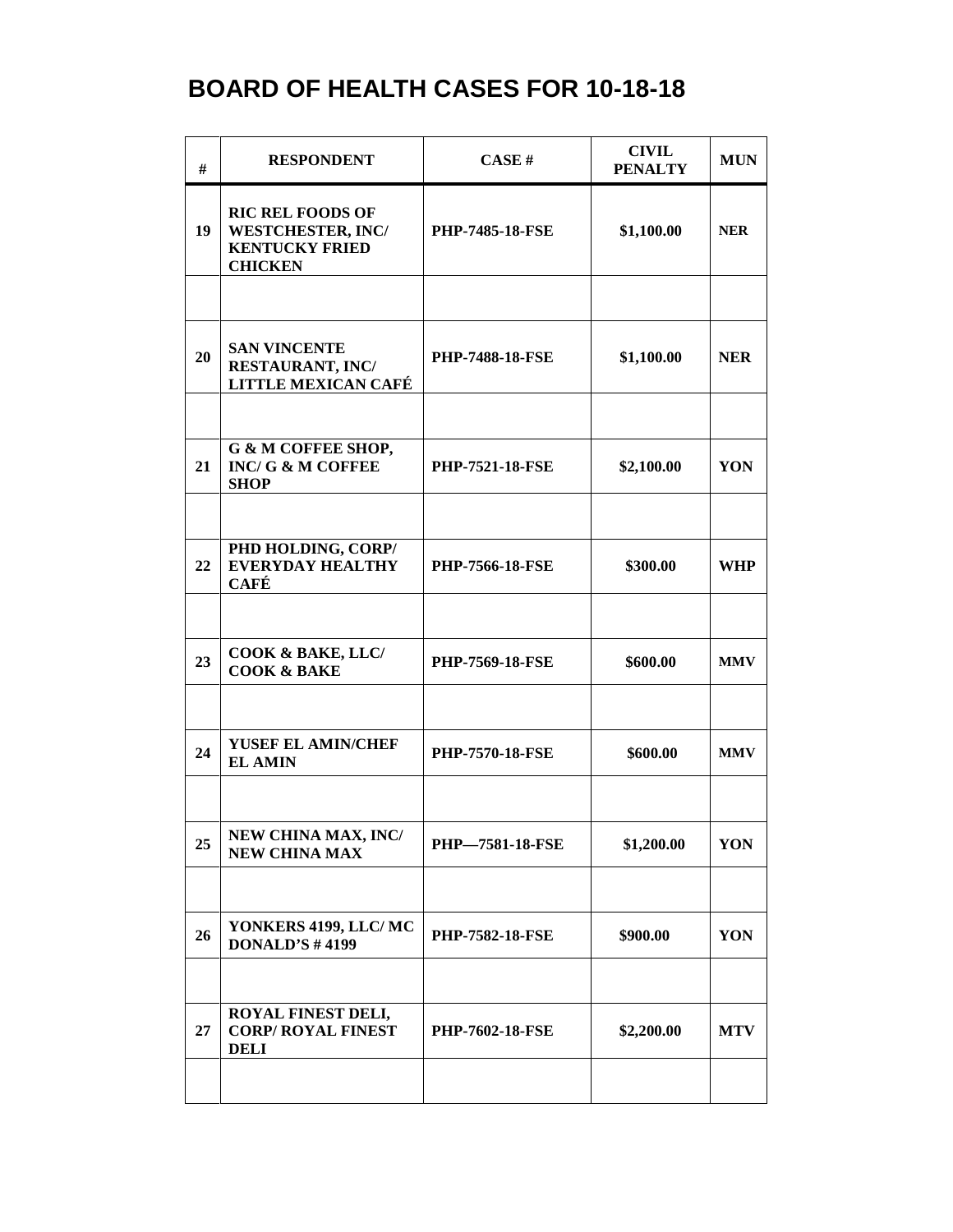| #  | <b>RESPONDENT</b>                                                                              | CASE#                  | <b>CIVIL</b><br><b>PENALTY</b> | <b>MUN</b> |
|----|------------------------------------------------------------------------------------------------|------------------------|--------------------------------|------------|
| 19 | <b>RIC REL FOODS OF</b><br><b>WESTCHESTER, INC/</b><br><b>KENTUCKY FRIED</b><br><b>CHICKEN</b> | <b>PHP-7485-18-FSE</b> | \$1,100.00                     | <b>NER</b> |
|    |                                                                                                |                        |                                |            |
| 20 | <b>SAN VINCENTE</b><br><b>RESTAURANT, INC/</b><br><b>LITTLE MEXICAN CAFÉ</b>                   | <b>PHP-7488-18-FSE</b> | \$1,100.00                     | <b>NER</b> |
|    |                                                                                                |                        |                                |            |
| 21 | G & M COFFEE SHOP,<br><b>INC/ G &amp; M COFFEE</b><br><b>SHOP</b>                              | <b>PHP-7521-18-FSE</b> | \$2,100.00                     | YON        |
|    |                                                                                                |                        |                                |            |
| 22 | PHD HOLDING, CORP/<br><b>EVERYDAY HEALTHY</b><br><b>CAFÉ</b>                                   | <b>PHP-7566-18-FSE</b> | \$300.00                       | WHP        |
|    |                                                                                                |                        |                                |            |
| 23 | COOK & BAKE, LLC/<br><b>COOK &amp; BAKE</b>                                                    | <b>PHP-7569-18-FSE</b> | \$600.00                       | MMV        |
|    |                                                                                                |                        |                                |            |
| 24 | YUSEF EL AMIN/CHEF<br><b>EL AMIN</b>                                                           | <b>PHP-7570-18-FSE</b> | \$600.00                       | <b>MMV</b> |
|    |                                                                                                |                        |                                |            |
| 25 | NEW CHINA MAX, INC/<br>NEW CHINA MAX                                                           | PHP-7581-18-FSE        | \$1,200.00                     | YON        |
|    |                                                                                                |                        |                                |            |
| 26 | YONKERS 4199, LLC/ MC<br><b>DONALD'S #4199</b>                                                 | <b>PHP-7582-18-FSE</b> | \$900.00                       | YON        |
|    |                                                                                                |                        |                                |            |
| 27 | <b>ROYAL FINEST DELI,</b><br><b>CORP/ ROYAL FINEST</b><br><b>DELI</b>                          | <b>PHP-7602-18-FSE</b> | \$2,200.00                     | <b>MTV</b> |
|    |                                                                                                |                        |                                |            |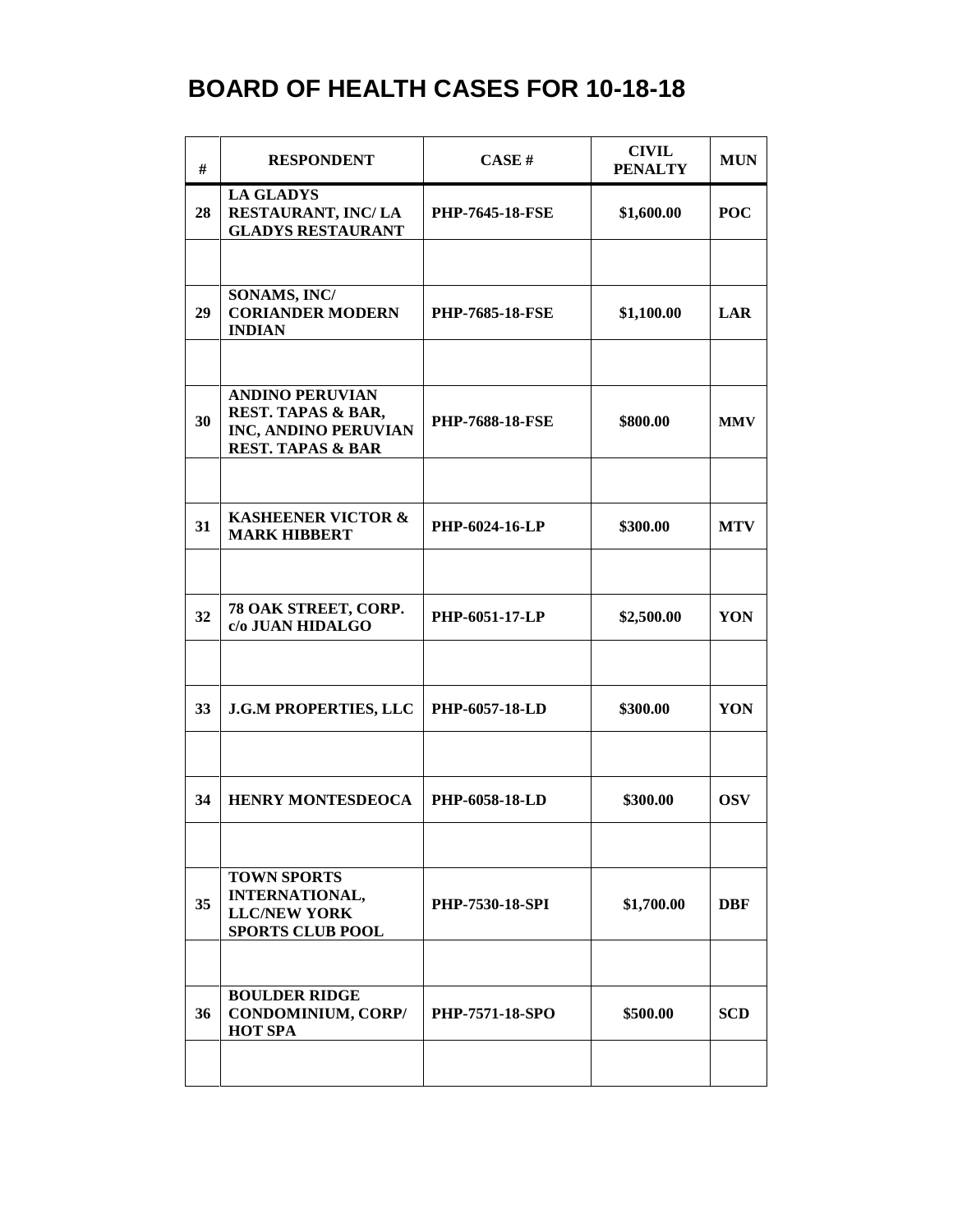| #  | <b>RESPONDENT</b>                                                                                    | CASE#                  | <b>CIVIL</b><br><b>PENALTY</b> | <b>MUN</b> |
|----|------------------------------------------------------------------------------------------------------|------------------------|--------------------------------|------------|
| 28 | <b>LA GLADYS</b><br>RESTAURANT, INC/LA<br><b>GLADYS RESTAURANT</b>                                   | <b>PHP-7645-18-FSE</b> | \$1,600.00                     | <b>POC</b> |
|    |                                                                                                      |                        |                                |            |
| 29 | SONAMS, INC/<br><b>CORIANDER MODERN</b><br><b>INDIAN</b>                                             | <b>PHP-7685-18-FSE</b> | \$1,100.00                     | <b>LAR</b> |
|    |                                                                                                      |                        |                                |            |
| 30 | <b>ANDINO PERUVIAN</b><br>REST. TAPAS & BAR,<br>INC, ANDINO PERUVIAN<br><b>REST. TAPAS &amp; BAR</b> | <b>PHP-7688-18-FSE</b> | \$800.00                       | <b>MMV</b> |
|    |                                                                                                      |                        |                                |            |
| 31 | <b>KASHEENER VICTOR &amp;</b><br><b>MARK HIBBERT</b>                                                 | PHP-6024-16-LP         | \$300.00                       | <b>MTV</b> |
|    |                                                                                                      |                        |                                |            |
| 32 | 78 OAK STREET, CORP.<br>c/o JUAN HIDALGO                                                             | <b>PHP-6051-17-LP</b>  | \$2,500.00                     | YON        |
|    |                                                                                                      |                        |                                |            |
| 33 | <b>J.G.M PROPERTIES, LLC</b>                                                                         | PHP-6057-18-LD         | \$300.00                       | YON        |
|    |                                                                                                      |                        |                                |            |
| 34 | <b>HENRY MONTESDEOCA</b>                                                                             | <b>PHP-6058-18-LD</b>  | \$300.00                       | <b>OSV</b> |
|    |                                                                                                      |                        |                                |            |
| 35 | <b>TOWN SPORTS</b><br>INTERNATIONAL,<br><b>LLC/NEW YORK</b><br><b>SPORTS CLUB POOL</b>               | <b>PHP-7530-18-SPI</b> | \$1,700.00                     | DBF        |
|    |                                                                                                      |                        |                                |            |
| 36 | <b>BOULDER RIDGE</b><br>CONDOMINIUM, CORP/<br><b>HOT SPA</b>                                         | <b>PHP-7571-18-SPO</b> | \$500.00                       | <b>SCD</b> |
|    |                                                                                                      |                        |                                |            |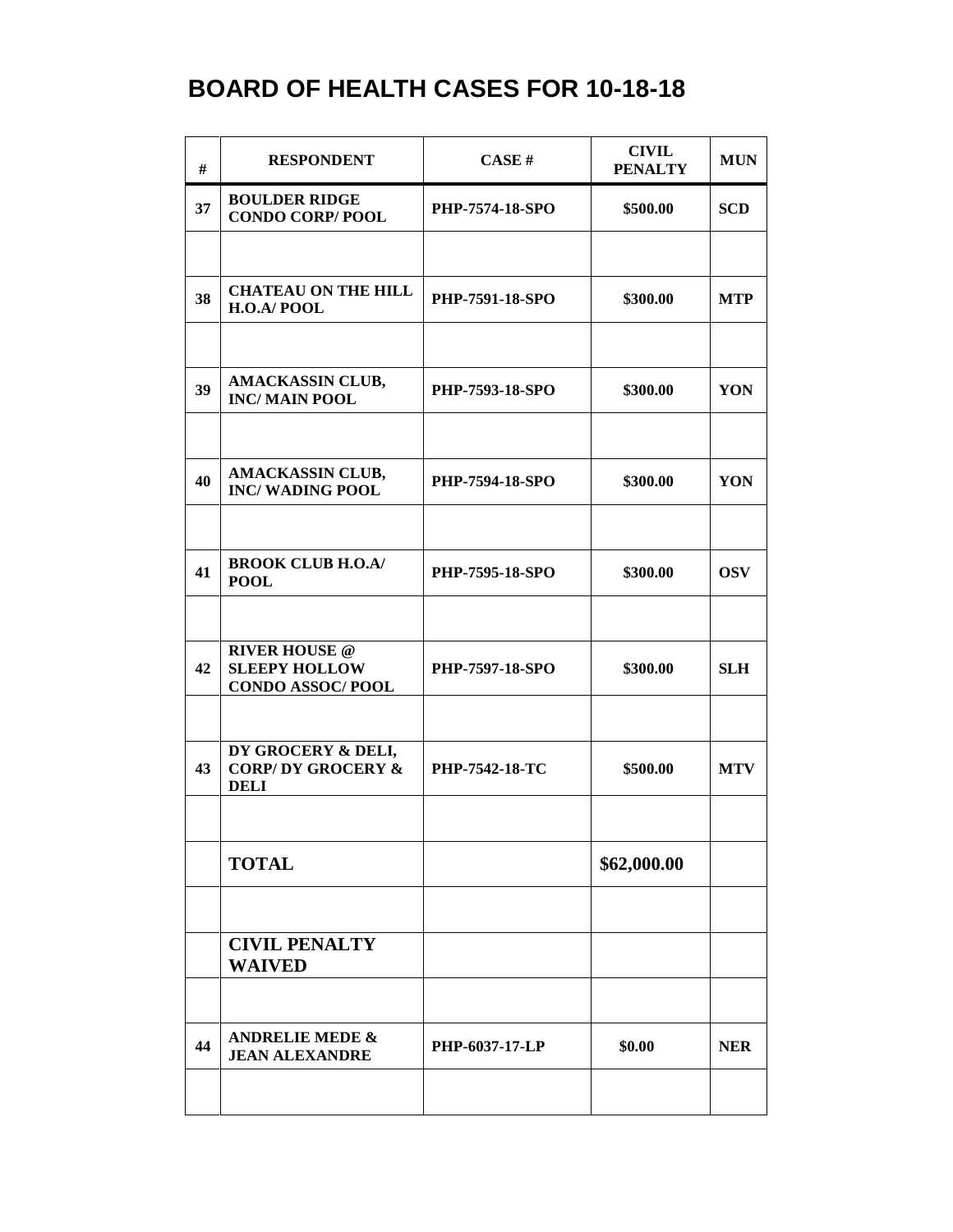| $\#$ | <b>RESPONDENT</b>                                                       | CASE#                  | <b>CIVIL</b><br><b>PENALTY</b> | <b>MUN</b> |
|------|-------------------------------------------------------------------------|------------------------|--------------------------------|------------|
| 37   | <b>BOULDER RIDGE</b><br><b>CONDO CORP/POOL</b>                          | <b>PHP-7574-18-SPO</b> | \$500.00                       | <b>SCD</b> |
|      |                                                                         |                        |                                |            |
| 38   | <b>CHATEAU ON THE HILL</b><br>H.O.A/POOL                                | PHP-7591-18-SPO        | \$300.00                       | <b>MTP</b> |
|      |                                                                         |                        |                                |            |
| 39   | AMACKASSIN CLUB,<br><b>INC/MAIN POOL</b>                                | PHP-7593-18-SPO        | \$300.00                       | YON        |
|      |                                                                         |                        |                                |            |
| 40   | <b>AMACKASSIN CLUB,</b><br><b>INC/WADING POOL</b>                       | PHP-7594-18-SPO        | \$300.00                       | YON        |
|      |                                                                         |                        |                                |            |
| 41   | <b>BROOK CLUB H.O.A/</b><br><b>POOL</b>                                 | <b>PHP-7595-18-SPO</b> | \$300.00                       | <b>OSV</b> |
|      |                                                                         |                        |                                |            |
| 42   | <b>RIVER HOUSE @</b><br><b>SLEEPY HOLLOW</b><br><b>CONDO ASSOC/POOL</b> | PHP-7597-18-SPO        | \$300.00                       | <b>SLH</b> |
|      |                                                                         |                        |                                |            |
| 43   | DY GROCERY & DELI,<br><b>CORP/DY GROCERY &amp;</b><br><b>DELI</b>       | <b>PHP-7542-18-TC</b>  | \$500.00                       | <b>MTV</b> |
|      |                                                                         |                        |                                |            |
|      | <b>TOTAL</b>                                                            |                        | \$62,000.00                    |            |
|      |                                                                         |                        |                                |            |
|      | <b>CIVIL PENALTY</b><br><b>WAIVED</b>                                   |                        |                                |            |
|      |                                                                         |                        |                                |            |
| 44   | <b>ANDRELIE MEDE &amp;</b><br><b>JEAN ALEXANDRE</b>                     | PHP-6037-17-LP         | \$0.00                         | <b>NER</b> |
|      |                                                                         |                        |                                |            |